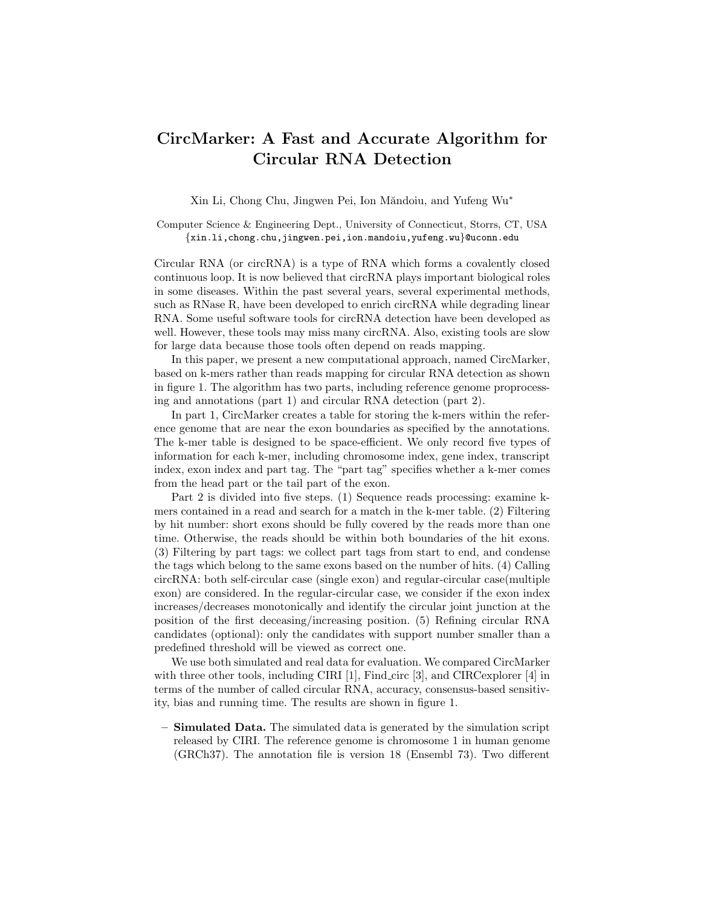## CircMarker: A Fast and Accurate Algorithm for Circular RNA Detection

Xin Li, Chong Chu, Jingwen Pei, Ion Măndoiu, and Yufeng Wu<sup>\*</sup>

Computer Science & Engineering Dept., University of Connecticut, Storrs, CT, USA {xin.li,chong.chu,jingwen.pei,ion.mandoiu,yufeng.wu}@uconn.edu

Circular RNA (or circRNA) is a type of RNA which forms a covalently closed continuous loop. It is now believed that circRNA plays important biological roles in some diseases. Within the past several years, several experimental methods, such as RNase R, have been developed to enrich circRNA while degrading linear RNA. Some useful software tools for circRNA detection have been developed as well. However, these tools may miss many circRNA. Also, existing tools are slow for large data because those tools often depend on reads mapping.

In this paper, we present a new computational approach, named CircMarker, based on k-mers rather than reads mapping for circular RNA detection as shown in figure 1. The algorithm has two parts, including reference genome proprocessing and annotations (part 1) and circular RNA detection (part 2).

In part 1, CircMarker creates a table for storing the k-mers within the reference genome that are near the exon boundaries as specified by the annotations. The k-mer table is designed to be space-efficient. We only record five types of information for each k-mer, including chromosome index, gene index, transcript index, exon index and part tag. The "part tag" specifies whether a k-mer comes from the head part or the tail part of the exon.

Part 2 is divided into five steps. (1) Sequence reads processing: examine kmers contained in a read and search for a match in the k-mer table. (2) Filtering by hit number: short exons should be fully covered by the reads more than one time. Otherwise, the reads should be within both boundaries of the hit exons. (3) Filtering by part tags: we collect part tags from start to end, and condense the tags which belong to the same exons based on the number of hits. (4) Calling circRNA: both self-circular case (single exon) and regular-circular case(multiple exon) are considered. In the regular-circular case, we consider if the exon index increases/decreases monotonically and identify the circular joint junction at the position of the first deceasing/increasing position. (5) Refining circular RNA candidates (optional): only the candidates with support number smaller than a predefined threshold will be viewed as correct one.

We use both simulated and real data for evaluation. We compared CircMarker with three other tools, including CIRI [1], Find circ [3], and CIRCexplorer [4] in terms of the number of called circular RNA, accuracy, consensus-based sensitivity, bias and running time. The results are shown in figure 1.

– Simulated Data. The simulated data is generated by the simulation script released by CIRI. The reference genome is chromosome 1 in human genome (GRCh37). The annotation file is version 18 (Ensembl 73). Two different